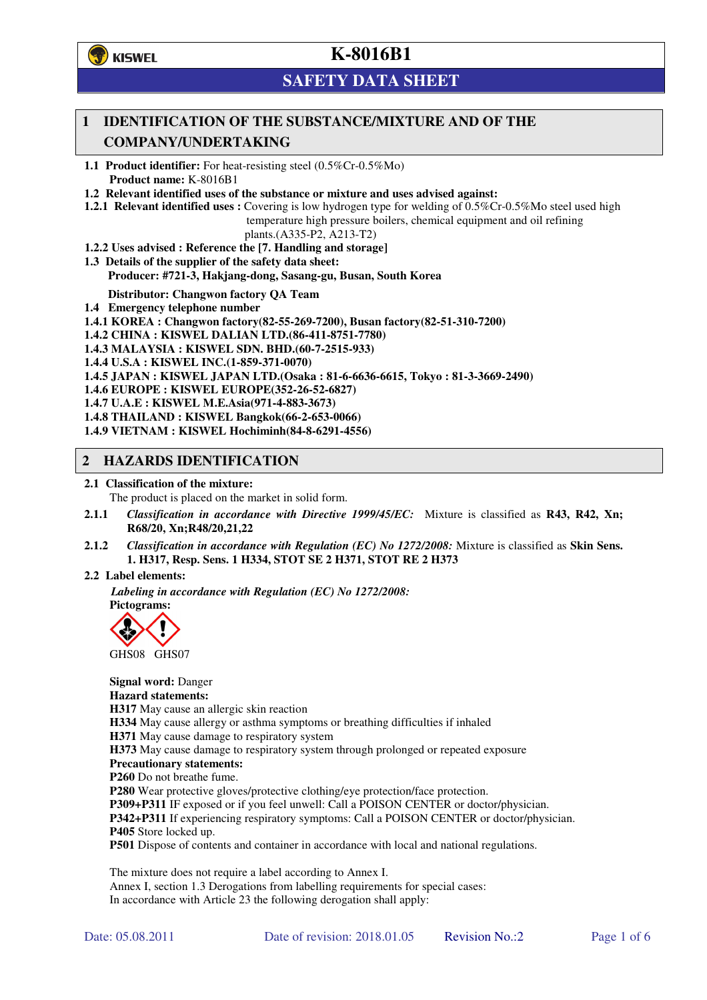

# **SAFETY DATA SHEET**

## **1 IDENTIFICATION OF THE SUBSTANCE/MIXTURE AND OF THE COMPANY/UNDERTAKING**

**1.1 Product identifier:** For heat-resisting steel (0.5%Cr-0.5%Mo) **Product name:** K-8016B1

**1.2 Relevant identified uses of the substance or mixture and uses advised against:**

**1.2.1 Relevant identified uses :** Covering is low hydrogen type for welding of 0.5%Cr-0.5%Mo steel used high temperature high pressure boilers, chemical equipment and oil refining plants.(A335-P2, A213-T2)

- **1.2.2 Uses advised : Reference the [7. Handling and storage]**
- **1.3 Details of the supplier of the safety data sheet: Producer: #721-3, Hakjang-dong, Sasang-gu, Busan, South Korea**

**Distributor: Changwon factory QA Team** 

- **1.4 Emergency telephone number**
- **1.4.1 KOREA : Changwon factory(82-55-269-7200), Busan factory(82-51-310-7200)**

**1.4.2 CHINA : KISWEL DALIAN LTD.(86-411-8751-7780)** 

**1.4.3 MALAYSIA : KISWEL SDN. BHD.(60-7-2515-933)** 

**1.4.4 U.S.A : KISWEL INC.(1-859-371-0070)** 

**1.4.5 JAPAN : KISWEL JAPAN LTD.(Osaka : 81-6-6636-6615, Tokyo : 81-3-3669-2490)** 

**1.4.6 EUROPE : KISWEL EUROPE(352-26-52-6827)** 

**1.4.7 U.A.E : KISWEL M.E.Asia(971-4-883-3673)** 

**1.4.8 THAILAND : KISWEL Bangkok(66-2-653-0066)** 

**1.4.9 VIETNAM : KISWEL Hochiminh(84-8-6291-4556)** 

### **2 HAZARDS IDENTIFICATION**

#### **2.1 Classification of the mixture:**

The product is placed on the market in solid form.

- **2.1.1** *Classification in accordance with Directive 1999/45/EC:* Mixture is classified as **R43, R42, Xn; R68/20, Xn;R48/20,21,22**
- **2.1.2** *Classification in accordance with Regulation (EC) No 1272/2008:* Mixture is classified as **Skin Sens. 1. H317, Resp. Sens. 1 H334, STOT SE 2 H371, STOT RE 2 H373**

#### **2.2 Label elements:**

*Labeling in accordance with Regulation (EC) No 1272/2008:*  **Pictograms:** 



GHS08 GHS07

**Signal word:** Danger **Hazard statements: H317** May cause an allergic skin reaction **H334** May cause allergy or asthma symptoms or breathing difficulties if inhaled **H371** May cause damage to respiratory system **H373** May cause damage to respiratory system through prolonged or repeated exposure **Precautionary statements: P260** Do not breathe fume. **P280** Wear protective gloves/protective clothing/eye protection/face protection. **P309+P311** IF exposed or if you feel unwell: Call a POISON CENTER or doctor/physician. **P342+P311** If experiencing respiratory symptoms: Call a POISON CENTER or doctor/physician. **P405** Store locked up. **P501** Dispose of contents and container in accordance with local and national regulations.

The mixture does not require a label according to Annex I. Annex I, section 1.3 Derogations from labelling requirements for special cases: In accordance with Article 23 the following derogation shall apply: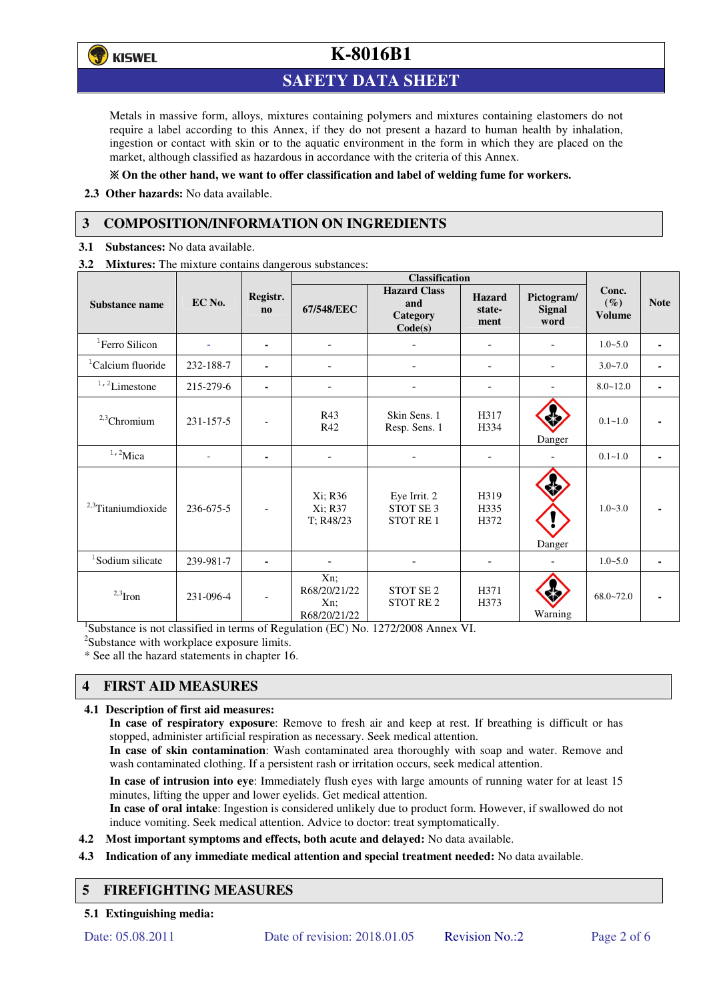

## **SAFETY DATA SHEET**

Metals in massive form, alloys, mixtures containing polymers and mixtures containing elastomers do not require a label according to this Annex, if they do not present a hazard to human health by inhalation, ingestion or contact with skin or to the aquatic environment in the form in which they are placed on the market, although classified as hazardous in accordance with the criteria of this Annex.

#### **On the other hand, we want to offer classification and label of welding fume for workers.**

**2.3 Other hazards:** No data available.

## **3 COMPOSITION/INFORMATION ON INGREDIENTS**

**3.1 Substances:** No data available.

**3.2 Mixtures:** The mixture contains dangerous substances:

|                                |           |                | <b>Classification</b>                         |                                                          |                                 |                                     |                                  |             |
|--------------------------------|-----------|----------------|-----------------------------------------------|----------------------------------------------------------|---------------------------------|-------------------------------------|----------------------------------|-------------|
| <b>Substance name</b>          | EC No.    | Registr.<br>no | 67/548/EEC                                    | <b>Hazard Class</b><br>and<br><b>Category</b><br>Code(s) | <b>Hazard</b><br>state-<br>ment | Pictogram/<br><b>Signal</b><br>word | Conc.<br>$(\%)$<br><b>Volume</b> | <b>Note</b> |
| <sup>1</sup> Ferro Silicon     |           | ۰              |                                               |                                                          | -                               |                                     | $1.0 - 5.0$                      |             |
| <sup>1</sup> Calcium fluoride  | 232-188-7 |                | $\blacksquare$                                |                                                          | $\overline{\phantom{0}}$        | L.                                  | $3.0 - 7.0$                      | ٠           |
| $1, 2$ Limestone               | 215-279-6 | ٠              | ٠                                             |                                                          | $\overline{\phantom{0}}$        |                                     | $8.0 - 12.0$                     |             |
| $2,3$ Chromium                 | 231-157-5 |                | R43<br>R42                                    | Skin Sens. 1<br>Resp. Sens. 1                            | H317<br>H334                    | Danger                              | $0.1 - 1.0$                      |             |
| $1,2$ Mica                     |           | $\blacksquare$ | $\overline{\phantom{0}}$                      |                                                          |                                 |                                     | $0.1 - 1.0$                      |             |
| <sup>2,3</sup> Titaniumdioxide | 236-675-5 | $\overline{a}$ | Xi; R36<br>Xi; R37<br>T: R48/23               | Eye Irrit. 2<br>STOT SE <sub>3</sub><br><b>STOT RE1</b>  | H319<br>H335<br>H372            | Danger                              | $1.0 - 3.0$                      |             |
| <sup>1</sup> Sodium silicate   | 239-981-7 |                |                                               |                                                          |                                 |                                     | $1.0 - 5.0$                      |             |
| $2,3$ Iron                     | 231-096-4 |                | Xn;<br>R68/20/21/22<br>$Xn$ :<br>R68/20/21/22 | STOT SE <sub>2</sub><br>STOT RE <sub>2</sub>             | H371<br>H373                    | Warning                             | $68.0 - 72.0$                    |             |

<sup>1</sup>Substance is not classified in terms of Regulation (EC) No. 1272/2008 Annex VI.

<sup>2</sup>Substance with workplace exposure limits.

\* See all the hazard statements in chapter 16.

## **4 FIRST AID MEASURES**

#### **4.1 Description of first aid measures:**

**In case of respiratory exposure**: Remove to fresh air and keep at rest. If breathing is difficult or has stopped, administer artificial respiration as necessary. Seek medical attention.

**In case of skin contamination**: Wash contaminated area thoroughly with soap and water. Remove and wash contaminated clothing. If a persistent rash or irritation occurs, seek medical attention.

 **In case of intrusion into eye**: Immediately flush eyes with large amounts of running water for at least 15 minutes, lifting the upper and lower eyelids. Get medical attention.

**In case of oral intake**: Ingestion is considered unlikely due to product form. However, if swallowed do not induce vomiting. Seek medical attention. Advice to doctor: treat symptomatically.

- **4.2 Most important symptoms and effects, both acute and delayed:** No data available.
- **4.3 Indication of any immediate medical attention and special treatment needed:** No data available.

### **5 FIREFIGHTING MEASURES**

**5.1 Extinguishing media:**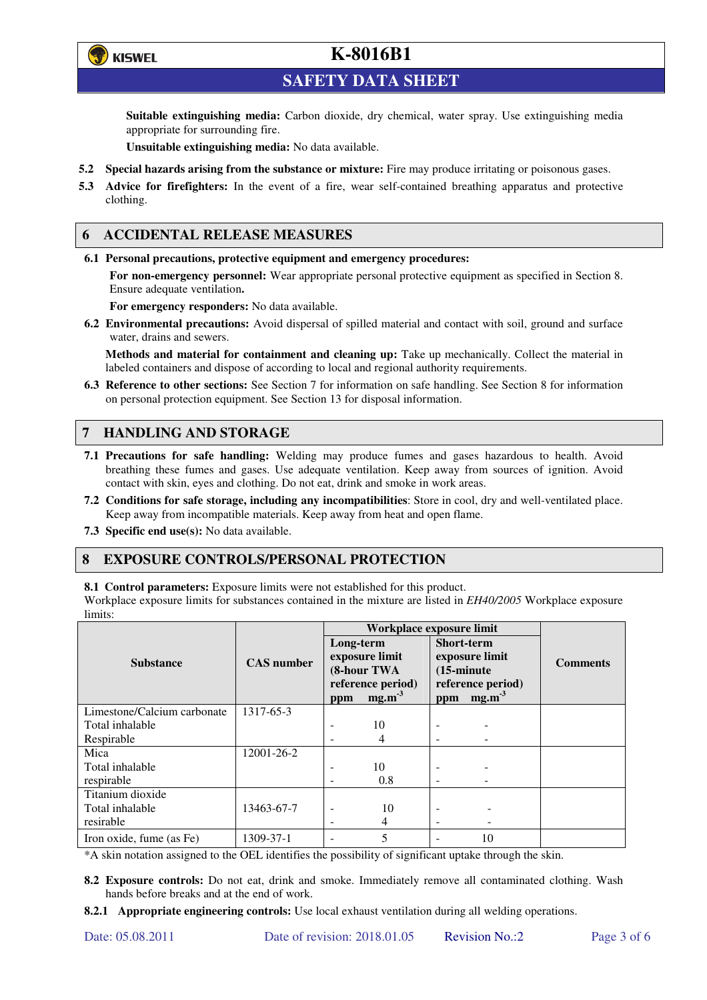

**SAFETY DATA SHEET** 

**Suitable extinguishing media:** Carbon dioxide, dry chemical, water spray. Use extinguishing media appropriate for surrounding fire.

**Unsuitable extinguishing media:** No data available.

- **5.2 Special hazards arising from the substance or mixture:** Fire may produce irritating or poisonous gases.
- **5.3 Advice for firefighters:** In the event of a fire, wear self-contained breathing apparatus and protective clothing.

## **6 ACCIDENTAL RELEASE MEASURES**

**6.1 Personal precautions, protective equipment and emergency procedures:** 

**For non-emergency personnel:** Wear appropriate personal protective equipment as specified in Section 8. Ensure adequate ventilation**.** 

**For emergency responders:** No data available.

**6.2 Environmental precautions:** Avoid dispersal of spilled material and contact with soil, ground and surface water, drains and sewers.

**Methods and material for containment and cleaning up:** Take up mechanically. Collect the material in labeled containers and dispose of according to local and regional authority requirements.

**6.3 Reference to other sections:** See Section 7 for information on safe handling. See Section 8 for information on personal protection equipment. See Section 13 for disposal information.

## **7 HANDLING AND STORAGE**

- **7.1 Precautions for safe handling:** Welding may produce fumes and gases hazardous to health. Avoid breathing these fumes and gases. Use adequate ventilation. Keep away from sources of ignition. Avoid contact with skin, eyes and clothing. Do not eat, drink and smoke in work areas.
- **7.2 Conditions for safe storage, including any incompatibilities**: Store in cool, dry and well-ventilated place. Keep away from incompatible materials. Keep away from heat and open flame.
- **7.3 Specific end use(s):** No data available.

### **8 EXPOSURE CONTROLS/PERSONAL PROTECTION**

**8.1 Control parameters:** Exposure limits were not established for this product.

Workplace exposure limits for substances contained in the mixture are listed in *EH40/2005* Workplace exposure limits:

|                             |                   | Workplace exposure limit    |                                        |                                     |                                        |                 |  |
|-----------------------------|-------------------|-----------------------------|----------------------------------------|-------------------------------------|----------------------------------------|-----------------|--|
|                             |                   | Long-term<br>exposure limit |                                        | <b>Short-term</b><br>exposure limit |                                        | <b>Comments</b> |  |
| <b>Substance</b>            | <b>CAS</b> number |                             |                                        |                                     |                                        |                 |  |
|                             |                   |                             | (8-hour TWA                            | $(15\text{-minute})$                |                                        |                 |  |
|                             |                   | ppm                         | reference period)<br>mg.m <sup>3</sup> | ppm                                 | reference period)<br>mg.m <sup>3</sup> |                 |  |
| Limestone/Calcium carbonate | 1317-65-3         |                             |                                        |                                     |                                        |                 |  |
| Total inhalable             |                   |                             | 10                                     |                                     |                                        |                 |  |
| Respirable                  |                   |                             | 4                                      |                                     |                                        |                 |  |
| Mica                        | 12001-26-2        |                             |                                        |                                     |                                        |                 |  |
| Total inhalable             |                   | -                           | 10                                     | -                                   |                                        |                 |  |
| respirable                  |                   |                             | 0.8                                    |                                     |                                        |                 |  |
| Titanium dioxide            |                   |                             |                                        |                                     |                                        |                 |  |
| Total inhalable             | 13463-67-7        | $\overline{\phantom{a}}$    | 10                                     |                                     |                                        |                 |  |
| resirable                   |                   | $\overline{\phantom{a}}$    | 4                                      | -                                   |                                        |                 |  |
| Iron oxide, fume (as Fe)    | 1309-37-1         | ٠                           | 5                                      |                                     | 10                                     |                 |  |

\*A skin notation assigned to the OEL identifies the possibility of significant uptake through the skin.

**8.2 Exposure controls:** Do not eat, drink and smoke. Immediately remove all contaminated clothing. Wash hands before breaks and at the end of work.

**8.2.1 Appropriate engineering controls:** Use local exhaust ventilation during all welding operations.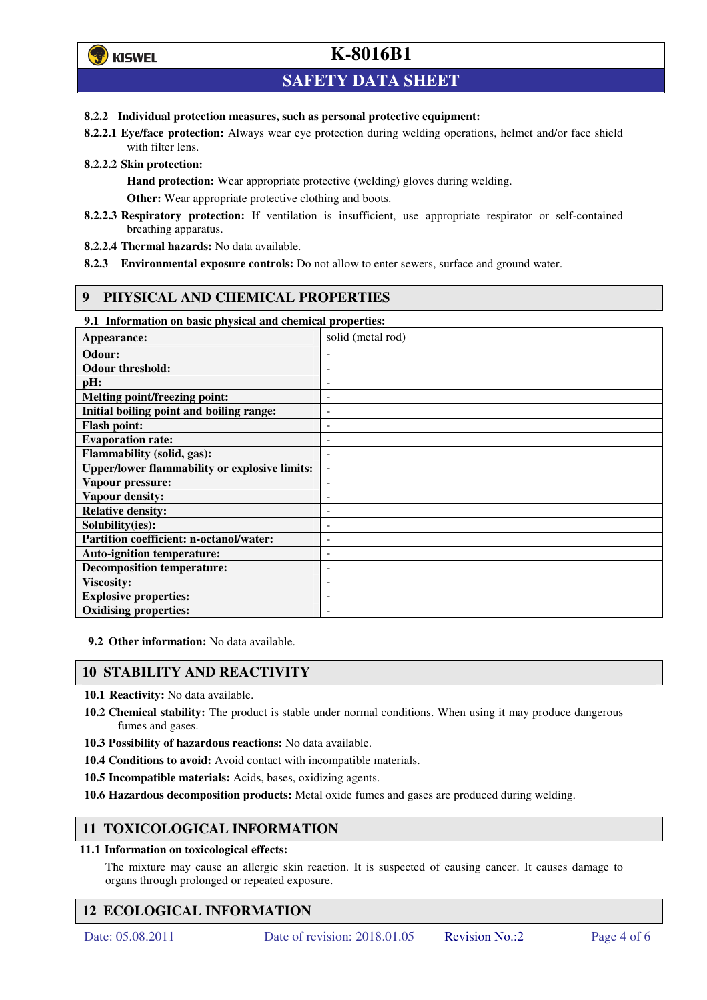

## **SAFETY DATA SHEET**

#### **8.2.2 Individual protection measures, such as personal protective equipment:**

**8.2.2.1 Eye/face protection:** Always wear eye protection during welding operations, helmet and/or face shield with filter lens.

**8.2.2.2 Skin protection:** 

**Hand protection:** Wear appropriate protective (welding) gloves during welding. **Other:** Wear appropriate protective clothing and boots.

- **8.2.2.3 Respiratory protection:** If ventilation is insufficient, use appropriate respirator or self-contained breathing apparatus.
- **8.2.2.4 Thermal hazards:** No data available.
- **8.2.3 Environmental exposure controls:** Do not allow to enter sewers, surface and ground water.

### **9 PHYSICAL AND CHEMICAL PROPERTIES**

#### **9.1 Information on basic physical and chemical properties:**

| Appearance:                                          | solid (metal rod)            |
|------------------------------------------------------|------------------------------|
| Odour:                                               |                              |
| <b>Odour threshold:</b>                              | $\overline{\phantom{0}}$     |
| pH:                                                  | $\qquad \qquad \blacksquare$ |
| Melting point/freezing point:                        | $\overline{\phantom{0}}$     |
| Initial boiling point and boiling range:             | $\overline{\phantom{0}}$     |
| <b>Flash point:</b>                                  | $\overline{\phantom{a}}$     |
| <b>Evaporation rate:</b>                             | ۰                            |
| Flammability (solid, gas):                           | $\overline{\phantom{0}}$     |
| <b>Upper/lower flammability or explosive limits:</b> | $\overline{\phantom{a}}$     |
| Vapour pressure:                                     | $\overline{\phantom{0}}$     |
| Vapour density:                                      | ۰                            |
| <b>Relative density:</b>                             | ٠                            |
| Solubility(ies):                                     |                              |
| Partition coefficient: n-octanol/water:              | ۰                            |
| <b>Auto-ignition temperature:</b>                    | $\overline{\phantom{a}}$     |
| <b>Decomposition temperature:</b>                    | $\overline{\phantom{0}}$     |
| <b>Viscosity:</b>                                    | ۰                            |
| <b>Explosive properties:</b>                         | ۰                            |
| <b>Oxidising properties:</b>                         |                              |

**9.2 Other information:** No data available.

### **10 STABILITY AND REACTIVITY**

- **10.1 Reactivity:** No data available.
- **10.2 Chemical stability:** The product is stable under normal conditions. When using it may produce dangerous fumes and gases.
- **10.3 Possibility of hazardous reactions:** No data available.
- **10.4 Conditions to avoid:** Avoid contact with incompatible materials.
- **10.5 Incompatible materials:** Acids, bases, oxidizing agents.

**10.6 Hazardous decomposition products:** Metal oxide fumes and gases are produced during welding.

### **11 TOXICOLOGICAL INFORMATION**

#### **11.1 Information on toxicological effects:**

The mixture may cause an allergic skin reaction. It is suspected of causing cancer. It causes damage to organs through prolonged or repeated exposure.

### **12 ECOLOGICAL INFORMATION**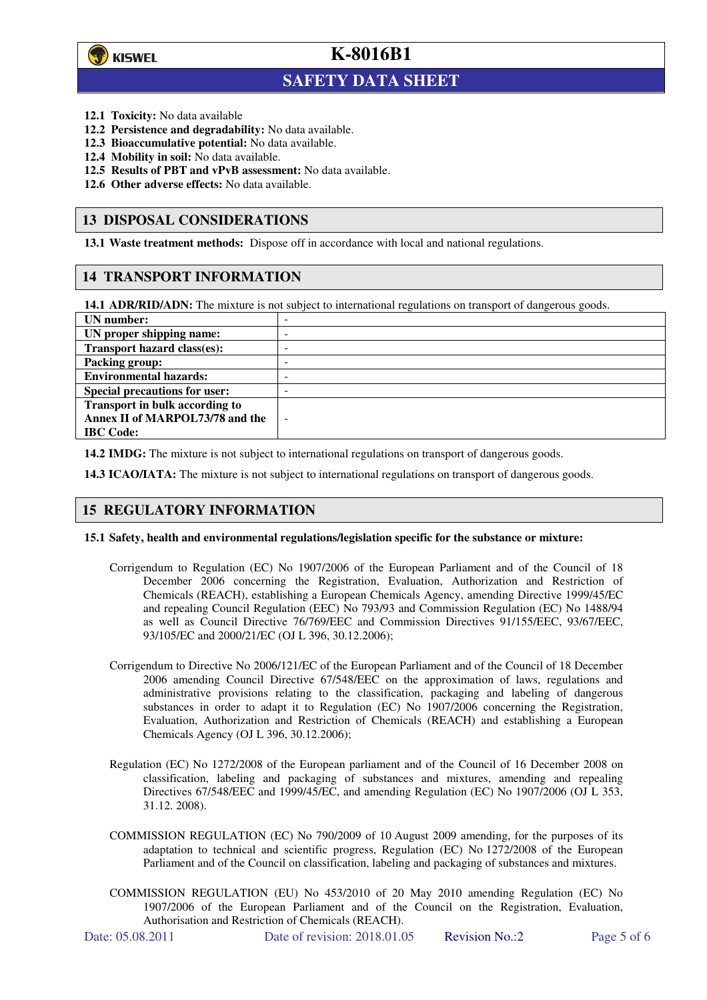

l

# **K-8016B1**

## **SAFETY DATA SHEET**

- **12.1 Toxicity:** No data available
- **12.2 Persistence and degradability:** No data available.
- **12.3 Bioaccumulative potential:** No data available.
- **12.4 Mobility in soil:** No data available.
- **12.5 Results of PBT and vPvB assessment:** No data available.
- **12.6 Other adverse effects:** No data available.

#### **13 DISPOSAL CONSIDERATIONS**

**13.1 Waste treatment methods:** Dispose off in accordance with local and national regulations.

#### **14 TRANSPORT INFORMATION**

**14.1 ADR/RID/ADN:** The mixture is not subject to international regulations on transport of dangerous goods.

| UN number:                            | - |
|---------------------------------------|---|
| UN proper shipping name:              | - |
| Transport hazard class(es):           | - |
| <b>Packing group:</b>                 | - |
| <b>Environmental hazards:</b>         | - |
| <b>Special precautions for user:</b>  |   |
| <b>Transport in bulk according to</b> |   |
| Annex II of MARPOL73/78 and the       | ۰ |
| <b>IBC</b> Code:                      |   |

**14.2 IMDG:** The mixture is not subject to international regulations on transport of dangerous goods.

**14.3 ICAO/IATA:** The mixture is not subject to international regulations on transport of dangerous goods.

#### **15 REGULATORY INFORMATION**

#### **15.1 Safety, health and environmental regulations/legislation specific for the substance or mixture:**

- Corrigendum to Regulation (EC) No 1907/2006 of the European Parliament and of the Council of 18 December 2006 concerning the Registration, Evaluation, Authorization and Restriction of Chemicals (REACH), establishing a European Chemicals Agency, amending Directive 1999/45/EC and repealing Council Regulation (EEC) No 793/93 and Commission Regulation (EC) No 1488/94 as well as Council Directive 76/769/EEC and Commission Directives 91/155/EEC, 93/67/EEC, 93/105/EC and 2000/21/EC (OJ L 396, 30.12.2006);
- Corrigendum to Directive No 2006/121/EC of the European Parliament and of the Council of 18 December 2006 amending Council Directive 67/548/EEC on the approximation of laws, regulations and administrative provisions relating to the classification, packaging and labeling of dangerous substances in order to adapt it to Regulation (EC) No 1907/2006 concerning the Registration, Evaluation, Authorization and Restriction of Chemicals (REACH) and establishing a European Chemicals Agency (OJ L 396, 30.12.2006);
- Regulation (EC) No 1272/2008 of the European parliament and of the Council of 16 December 2008 on classification, labeling and packaging of substances and mixtures, amending and repealing Directives 67/548/EEC and 1999/45/EC, and amending Regulation (EC) No 1907/2006 (OJ L 353, 31.12. 2008).
- COMMISSION REGULATION (EC) No 790/2009 of 10 August 2009 amending, for the purposes of its adaptation to technical and scientific progress, Regulation (EC) No 1272/2008 of the European Parliament and of the Council on classification, labeling and packaging of substances and mixtures.
- COMMISSION REGULATION (EU) No 453/2010 of 20 May 2010 amending Regulation (EC) No 1907/2006 of the European Parliament and of the Council on the Registration, Evaluation, Authorisation and Restriction of Chemicals (REACH).